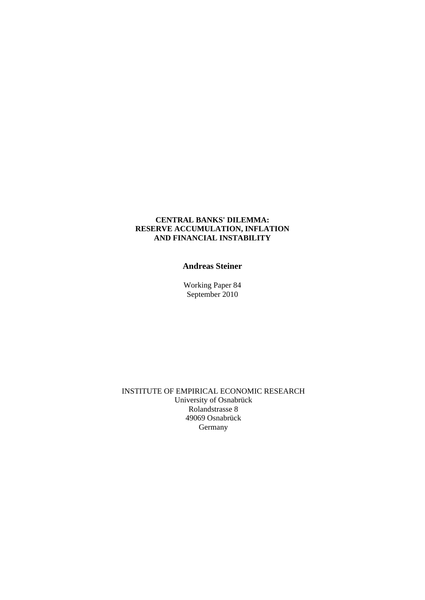#### **CENTRAL BANKS' DILEMMA: RESERVE ACCUMULATION, INFLATION AND FINANCIAL INSTABILITY**

### **Andreas Steiner**

Working Paper 84 September 2010

 INSTITUTE OF EMPIRICAL ECONOMIC RESEARCH University of Osnabrück Rolandstrasse 8 49069 Osnabrück Germany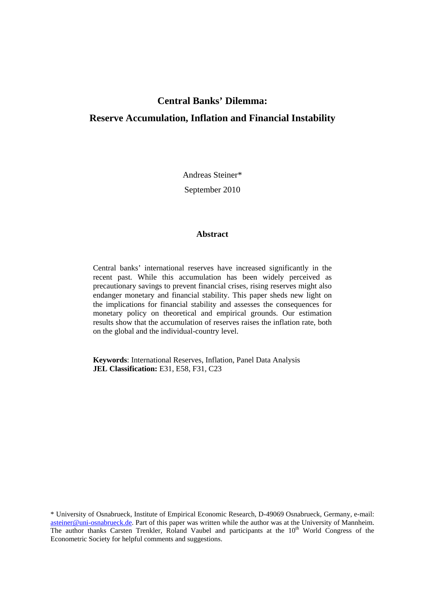### **Central Banks' Dilemma:**

### **Reserve Accumulation, Inflation and Financial Instability**

Andreas Steiner\*

September 2010

#### **Abstract**

Central banks' international reserves have increased significantly in the recent past. While this accumulation has been widely perceived as precautionary savings to prevent financial crises, rising reserves might also endanger monetary and financial stability. This paper sheds new light on the implications for financial stability and assesses the consequences for monetary policy on theoretical and empirical grounds. Our estimation results show that the accumulation of reserves raises the inflation rate, both on the global and the individual-country level.

**Keywords**: International Reserves, Inflation, Panel Data Analysis **JEL Classification:** E31, E58, F31, C23

\* University of Osnabrueck, Institute of Empirical Economic Research, D-49069 Osnabrueck, Germany, e-mail: asteiner@uni-osnabrueck.de. Part of this paper was written while the author was at the University of Mannheim. The author thanks Carsten Trenkler, Roland Vaubel and participants at the 10<sup>th</sup> World Congress of the Econometric Society for helpful comments and suggestions.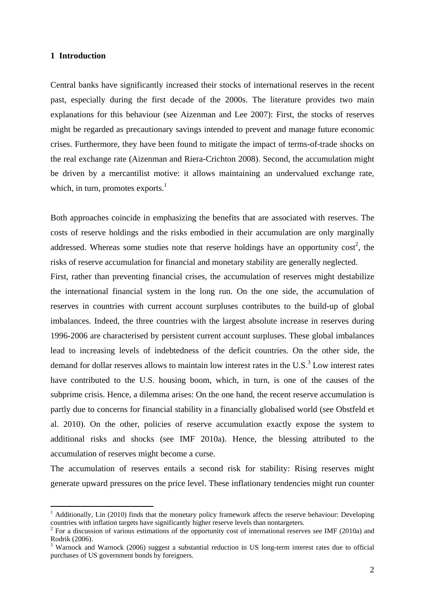#### **1 Introduction**

1

Central banks have significantly increased their stocks of international reserves in the recent past, especially during the first decade of the 2000s. The literature provides two main explanations for this behaviour (see Aizenman and Lee 2007): First, the stocks of reserves might be regarded as precautionary savings intended to prevent and manage future economic crises. Furthermore, they have been found to mitigate the impact of terms-of-trade shocks on the real exchange rate (Aizenman and Riera-Crichton 2008). Second, the accumulation might be driven by a mercantilist motive: it allows maintaining an undervalued exchange rate, which, in turn, promotes  $exports.<sup>1</sup>$ 

Both approaches coincide in emphasizing the benefits that are associated with reserves. The costs of reserve holdings and the risks embodied in their accumulation are only marginally addressed. Whereas some studies note that reserve holdings have an opportunity  $cost<sup>2</sup>$ , the risks of reserve accumulation for financial and monetary stability are generally neglected.

First, rather than preventing financial crises, the accumulation of reserves might destabilize the international financial system in the long run. On the one side, the accumulation of reserves in countries with current account surpluses contributes to the build-up of global imbalances. Indeed, the three countries with the largest absolute increase in reserves during 1996-2006 are characterised by persistent current account surpluses. These global imbalances lead to increasing levels of indebtedness of the deficit countries. On the other side, the demand for dollar reserves allows to maintain low interest rates in the U.S. $3^3$  Low interest rates have contributed to the U.S. housing boom, which, in turn, is one of the causes of the subprime crisis. Hence, a dilemma arises: On the one hand, the recent reserve accumulation is partly due to concerns for financial stability in a financially globalised world (see Obstfeld et al. 2010). On the other, policies of reserve accumulation exactly expose the system to additional risks and shocks (see IMF 2010a). Hence, the blessing attributed to the accumulation of reserves might become a curse.

The accumulation of reserves entails a second risk for stability: Rising reserves might generate upward pressures on the price level. These inflationary tendencies might run counter

<sup>&</sup>lt;sup>1</sup> Additionally, Lin (2010) finds that the monetary policy framework affects the reserve behaviour: Developing countries with inflation targets have significantly higher reserve levels than nontargeters.

<sup>&</sup>lt;sup>2</sup> For a discussion of various estimations of the opportunity cost of international reserves see IMF (2010a) and Rodrik (2006).

<sup>&</sup>lt;sup>3</sup> Warnock and Warnock (2006) suggest a substantial reduction in US long-term interest rates due to official purchases of US government bonds by foreigners.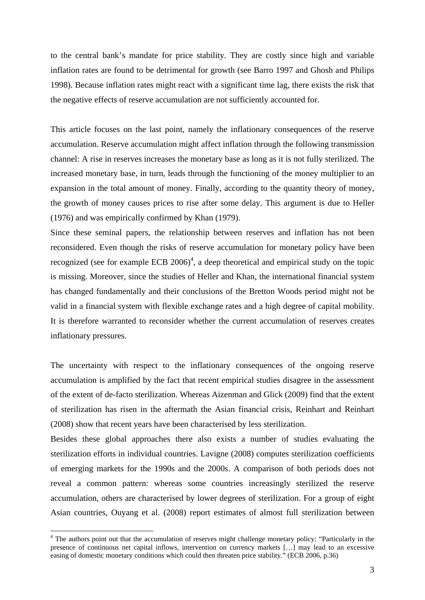to the central bank's mandate for price stability. They are costly since high and variable inflation rates are found to be detrimental for growth (see Barro 1997 and Ghosh and Philips 1998). Because inflation rates might react with a significant time lag, there exists the risk that the negative effects of reserve accumulation are not sufficiently accounted for.

This article focuses on the last point, namely the inflationary consequences of the reserve accumulation. Reserve accumulation might affect inflation through the following transmission channel: A rise in reserves increases the monetary base as long as it is not fully sterilized. The increased monetary base, in turn, leads through the functioning of the money multiplier to an expansion in the total amount of money. Finally, according to the quantity theory of money, the growth of money causes prices to rise after some delay. This argument is due to Heller (1976) and was empirically confirmed by Khan (1979).

Since these seminal papers, the relationship between reserves and inflation has not been reconsidered. Even though the risks of reserve accumulation for monetary policy have been recognized (see for example ECB  $2006$ <sup>4</sup>, a deep theoretical and empirical study on the topic is missing. Moreover, since the studies of Heller and Khan, the international financial system has changed fundamentally and their conclusions of the Bretton Woods period might not be valid in a financial system with flexible exchange rates and a high degree of capital mobility. It is therefore warranted to reconsider whether the current accumulation of reserves creates inflationary pressures.

The uncertainty with respect to the inflationary consequences of the ongoing reserve accumulation is amplified by the fact that recent empirical studies disagree in the assessment of the extent of de-facto sterilization. Whereas Aizenman and Glick (2009) find that the extent of sterilization has risen in the aftermath the Asian financial crisis, Reinhart and Reinhart (2008) show that recent years have been characterised by less sterilization.

Besides these global approaches there also exists a number of studies evaluating the sterilization efforts in individual countries. Lavigne (2008) computes sterilization coefficients of emerging markets for the 1990s and the 2000s. A comparison of both periods does not reveal a common pattern: whereas some countries increasingly sterilized the reserve accumulation, others are characterised by lower degrees of sterilization. For a group of eight Asian countries, Ouyang et al. (2008) report estimates of almost full sterilization between

1

<sup>&</sup>lt;sup>4</sup> The authors point out that the accumulation of reserves might challenge monetary policy: "Particularly in the presence of continuous net capital inflows, intervention on currency markets […] may lead to an excessive easing of domestic monetary conditions which could then threaten price stability." (ECB 2006, p.36)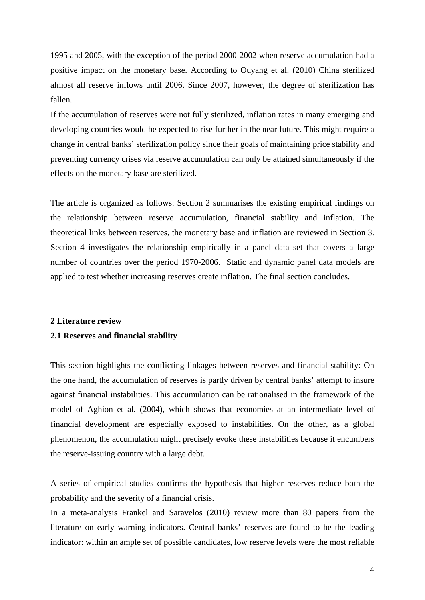1995 and 2005, with the exception of the period 2000-2002 when reserve accumulation had a positive impact on the monetary base. According to Ouyang et al. (2010) China sterilized almost all reserve inflows until 2006. Since 2007, however, the degree of sterilization has fallen.

If the accumulation of reserves were not fully sterilized, inflation rates in many emerging and developing countries would be expected to rise further in the near future. This might require a change in central banks' sterilization policy since their goals of maintaining price stability and preventing currency crises via reserve accumulation can only be attained simultaneously if the effects on the monetary base are sterilized.

The article is organized as follows: Section 2 summarises the existing empirical findings on the relationship between reserve accumulation, financial stability and inflation. The theoretical links between reserves, the monetary base and inflation are reviewed in Section 3. Section 4 investigates the relationship empirically in a panel data set that covers a large number of countries over the period 1970-2006. Static and dynamic panel data models are applied to test whether increasing reserves create inflation. The final section concludes.

#### **2 Literature review**

### **2.1 Reserves and financial stability**

This section highlights the conflicting linkages between reserves and financial stability: On the one hand, the accumulation of reserves is partly driven by central banks' attempt to insure against financial instabilities. This accumulation can be rationalised in the framework of the model of Aghion et al. (2004), which shows that economies at an intermediate level of financial development are especially exposed to instabilities. On the other, as a global phenomenon, the accumulation might precisely evoke these instabilities because it encumbers the reserve-issuing country with a large debt.

A series of empirical studies confirms the hypothesis that higher reserves reduce both the probability and the severity of a financial crisis.

In a meta-analysis Frankel and Saravelos (2010) review more than 80 papers from the literature on early warning indicators. Central banks' reserves are found to be the leading indicator: within an ample set of possible candidates, low reserve levels were the most reliable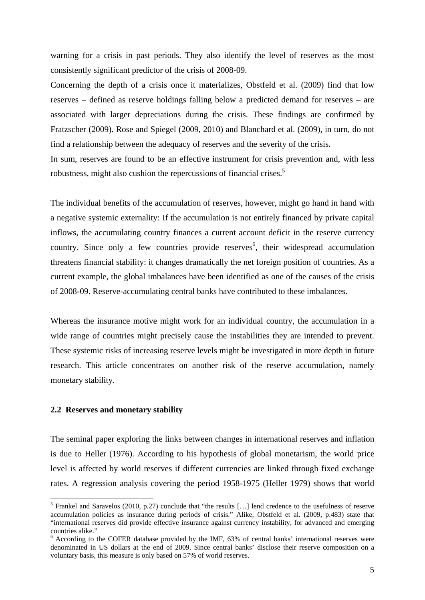warning for a crisis in past periods. They also identify the level of reserves as the most consistently significant predictor of the crisis of 2008-09.

Concerning the depth of a crisis once it materializes, Obstfeld et al. (2009) find that low reserves – defined as reserve holdings falling below a predicted demand for reserves – are associated with larger depreciations during the crisis. These findings are confirmed by Fratzscher (2009). Rose and Spiegel (2009, 2010) and Blanchard et al. (2009), in turn, do not find a relationship between the adequacy of reserves and the severity of the crisis.

In sum, reserves are found to be an effective instrument for crisis prevention and, with less robustness, might also cushion the repercussions of financial crises.<sup>5</sup>

The individual benefits of the accumulation of reserves, however, might go hand in hand with a negative systemic externality: If the accumulation is not entirely financed by private capital inflows, the accumulating country finances a current account deficit in the reserve currency country. Since only a few countries provide reserves<sup>6</sup>, their widespread accumulation threatens financial stability: it changes dramatically the net foreign position of countries. As a current example, the global imbalances have been identified as one of the causes of the crisis of 2008-09. Reserve-accumulating central banks have contributed to these imbalances.

Whereas the insurance motive might work for an individual country, the accumulation in a wide range of countries might precisely cause the instabilities they are intended to prevent. These systemic risks of increasing reserve levels might be investigated in more depth in future research. This article concentrates on another risk of the reserve accumulation, namely monetary stability.

#### **2.2 Reserves and monetary stability**

1

The seminal paper exploring the links between changes in international reserves and inflation is due to Heller (1976). According to his hypothesis of global monetarism, the world price level is affected by world reserves if different currencies are linked through fixed exchange rates. A regression analysis covering the period 1958-1975 (Heller 1979) shows that world

<sup>&</sup>lt;sup>5</sup> Frankel and Saravelos (2010, p.27) conclude that "the results [...] lend credence to the usefulness of reserve accumulation policies as insurance during periods of crisis." Alike, Obstfeld et al. (2009, p.483) state that "international reserves did provide effective insurance against currency instability, for advanced and emerging countries alike."

<sup>&</sup>lt;sup>6</sup> According to the COFER database provided by the IMF, 63% of central banks' international reserves were denominated in US dollars at the end of 2009. Since central banks' disclose their reserve composition on a voluntary basis, this measure is only based on 57% of world reserves.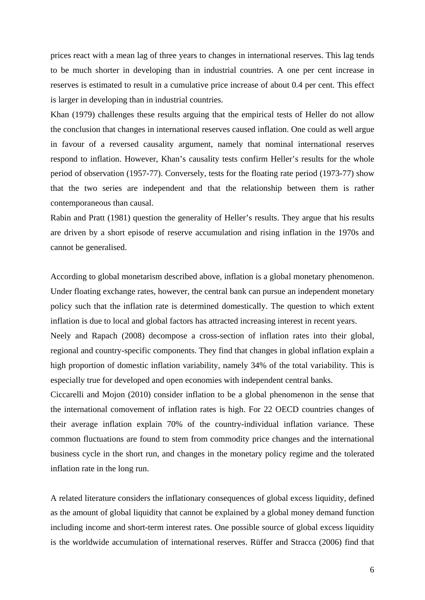prices react with a mean lag of three years to changes in international reserves. This lag tends to be much shorter in developing than in industrial countries. A one per cent increase in reserves is estimated to result in a cumulative price increase of about 0.4 per cent. This effect is larger in developing than in industrial countries.

Khan (1979) challenges these results arguing that the empirical tests of Heller do not allow the conclusion that changes in international reserves caused inflation. One could as well argue in favour of a reversed causality argument, namely that nominal international reserves respond to inflation. However, Khan's causality tests confirm Heller's results for the whole period of observation (1957-77). Conversely, tests for the floating rate period (1973-77) show that the two series are independent and that the relationship between them is rather contemporaneous than causal.

Rabin and Pratt (1981) question the generality of Heller's results. They argue that his results are driven by a short episode of reserve accumulation and rising inflation in the 1970s and cannot be generalised.

According to global monetarism described above, inflation is a global monetary phenomenon. Under floating exchange rates, however, the central bank can pursue an independent monetary policy such that the inflation rate is determined domestically. The question to which extent inflation is due to local and global factors has attracted increasing interest in recent years.

Neely and Rapach (2008) decompose a cross-section of inflation rates into their global, regional and country-specific components. They find that changes in global inflation explain a high proportion of domestic inflation variability, namely 34% of the total variability. This is especially true for developed and open economies with independent central banks.

Ciccarelli and Mojon (2010) consider inflation to be a global phenomenon in the sense that the international comovement of inflation rates is high. For 22 OECD countries changes of their average inflation explain 70% of the country-individual inflation variance. These common fluctuations are found to stem from commodity price changes and the international business cycle in the short run, and changes in the monetary policy regime and the tolerated inflation rate in the long run.

A related literature considers the inflationary consequences of global excess liquidity, defined as the amount of global liquidity that cannot be explained by a global money demand function including income and short-term interest rates. One possible source of global excess liquidity is the worldwide accumulation of international reserves. Rüffer and Stracca (2006) find that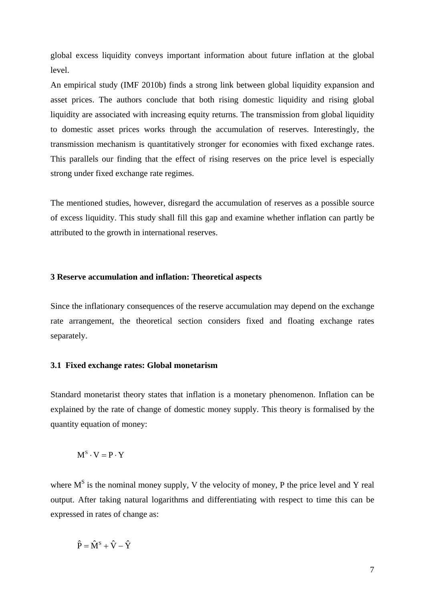global excess liquidity conveys important information about future inflation at the global level.

An empirical study (IMF 2010b) finds a strong link between global liquidity expansion and asset prices. The authors conclude that both rising domestic liquidity and rising global liquidity are associated with increasing equity returns. The transmission from global liquidity to domestic asset prices works through the accumulation of reserves. Interestingly, the transmission mechanism is quantitatively stronger for economies with fixed exchange rates. This parallels our finding that the effect of rising reserves on the price level is especially strong under fixed exchange rate regimes.

The mentioned studies, however, disregard the accumulation of reserves as a possible source of excess liquidity. This study shall fill this gap and examine whether inflation can partly be attributed to the growth in international reserves.

### **3 Reserve accumulation and inflation: Theoretical aspects**

Since the inflationary consequences of the reserve accumulation may depend on the exchange rate arrangement, the theoretical section considers fixed and floating exchange rates separately.

#### **3.1 Fixed exchange rates: Global monetarism**

Standard monetarist theory states that inflation is a monetary phenomenon. Inflation can be explained by the rate of change of domestic money supply. This theory is formalised by the quantity equation of money:

$$
M^S \cdot V = P \cdot Y
$$

where  $M<sup>S</sup>$  is the nominal money supply, V the velocity of money, P the price level and Y real output. After taking natural logarithms and differentiating with respect to time this can be expressed in rates of change as:

$$
\hat{P} = \hat{M}^S + \hat{V} - \hat{Y}
$$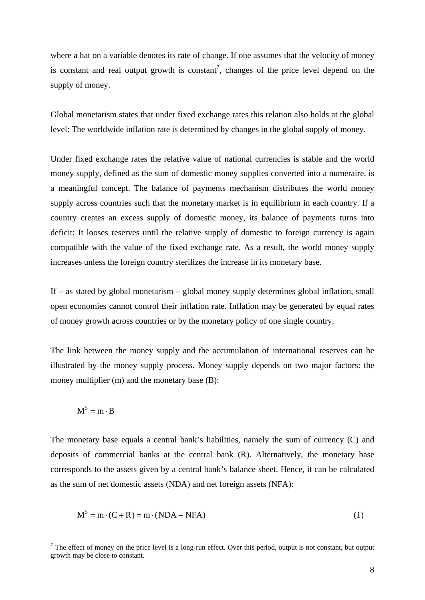where a hat on a variable denotes its rate of change. If one assumes that the velocity of money is constant and real output growth is constant<sup>7</sup>, changes of the price level depend on the supply of money.

Global monetarism states that under fixed exchange rates this relation also holds at the global level: The worldwide inflation rate is determined by changes in the global supply of money.

Under fixed exchange rates the relative value of national currencies is stable and the world money supply, defined as the sum of domestic money supplies converted into a numeraire, is a meaningful concept. The balance of payments mechanism distributes the world money supply across countries such that the monetary market is in equilibrium in each country. If a country creates an excess supply of domestic money, its balance of payments turns into deficit: It looses reserves until the relative supply of domestic to foreign currency is again compatible with the value of the fixed exchange rate. As a result, the world money supply increases unless the foreign country sterilizes the increase in its monetary base.

If – as stated by global monetarism – global money supply determines global inflation, small open economies cannot control their inflation rate. Inflation may be generated by equal rates of money growth across countries or by the monetary policy of one single country.

The link between the money supply and the accumulation of international reserves can be illustrated by the money supply process. Money supply depends on two major factors: the money multiplier (m) and the monetary base (B):

$$
M^S = m \cdot B
$$

1

The monetary base equals a central bank's liabilities, namely the sum of currency (C) and deposits of commercial banks at the central bank (R). Alternatively, the monetary base corresponds to the assets given by a central bank's balance sheet. Hence, it can be calculated as the sum of net domestic assets (NDA) and net foreign assets (NFA):

$$
MS = m \cdot (C + R) = m \cdot (NDA + NFA)
$$
 (1)

 $<sup>7</sup>$  The effect of money on the price level is a long-run effect. Over this period, output is not constant, but output</sup> growth may be close to constant.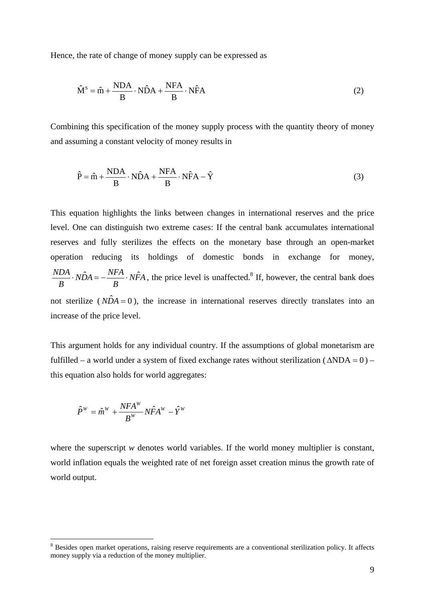Hence, the rate of change of money supply can be expressed as

$$
\hat{M}^{S} = \hat{m} + \frac{NDA}{B} \cdot N\hat{D}A + \frac{NFA}{B} \cdot N\hat{F}A
$$
\n(2)

Combining this specification of the money supply process with the quantity theory of money and assuming a constant velocity of money results in

$$
\hat{P} = \hat{m} + \frac{NDA}{B} \cdot N\hat{D}A + \frac{NFA}{B} \cdot N\hat{F}A - \hat{Y}
$$
\n(3)

This equation highlights the links between changes in international reserves and the price level. One can distinguish two extreme cases: If the central bank accumulates international reserves and fully sterilizes the effects on the monetary base through an open-market operation reducing its holdings of domestic bonds in exchange for money, *NFA B*  $N\hat{D}A = -\frac{NFA}{R}$ *B*  $\overrightarrow{NDA} \cdot \overrightarrow{NDA} = -\frac{NFA}{R} \cdot \overrightarrow{NFA}$ , the price level is unaffected.<sup>8</sup> If, however, the central bank does not sterilize ( $N\hat{D}A = 0$ ), the increase in international reserves directly translates into an increase of the price level.

This argument holds for any individual country. If the assumptions of global monetarism are fulfilled – a world under a system of fixed exchange rates without sterilization ( $\triangle NDA = 0$ ) – this equation also holds for world aggregates:

$$
\hat{P}^W = \hat{m}^W + \frac{NFA^W}{B^W} N\hat{F}A^W - \hat{Y}^W
$$

1

where the superscript *w* denotes world variables. If the world money multiplier is constant, world inflation equals the weighted rate of net foreign asset creation minus the growth rate of world output.

<sup>&</sup>lt;sup>8</sup> Besides open market operations, raising reserve requirements are a conventional sterilization policy. It affects money supply via a reduction of the money multiplier.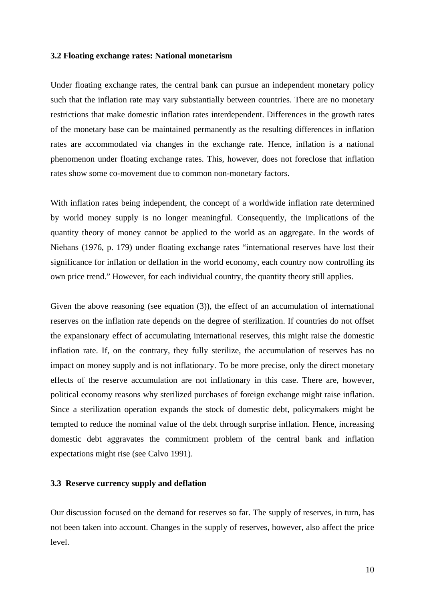#### **3.2 Floating exchange rates: National monetarism**

Under floating exchange rates, the central bank can pursue an independent monetary policy such that the inflation rate may vary substantially between countries. There are no monetary restrictions that make domestic inflation rates interdependent. Differences in the growth rates of the monetary base can be maintained permanently as the resulting differences in inflation rates are accommodated via changes in the exchange rate. Hence, inflation is a national phenomenon under floating exchange rates. This, however, does not foreclose that inflation rates show some co-movement due to common non-monetary factors.

With inflation rates being independent, the concept of a worldwide inflation rate determined by world money supply is no longer meaningful. Consequently, the implications of the quantity theory of money cannot be applied to the world as an aggregate. In the words of Niehans (1976, p. 179) under floating exchange rates "international reserves have lost their significance for inflation or deflation in the world economy, each country now controlling its own price trend." However, for each individual country, the quantity theory still applies.

Given the above reasoning (see equation (3)), the effect of an accumulation of international reserves on the inflation rate depends on the degree of sterilization. If countries do not offset the expansionary effect of accumulating international reserves, this might raise the domestic inflation rate. If, on the contrary, they fully sterilize, the accumulation of reserves has no impact on money supply and is not inflationary. To be more precise, only the direct monetary effects of the reserve accumulation are not inflationary in this case. There are, however, political economy reasons why sterilized purchases of foreign exchange might raise inflation. Since a sterilization operation expands the stock of domestic debt, policymakers might be tempted to reduce the nominal value of the debt through surprise inflation. Hence, increasing domestic debt aggravates the commitment problem of the central bank and inflation expectations might rise (see Calvo 1991).

#### **3.3 Reserve currency supply and deflation**

Our discussion focused on the demand for reserves so far. The supply of reserves, in turn, has not been taken into account. Changes in the supply of reserves, however, also affect the price level.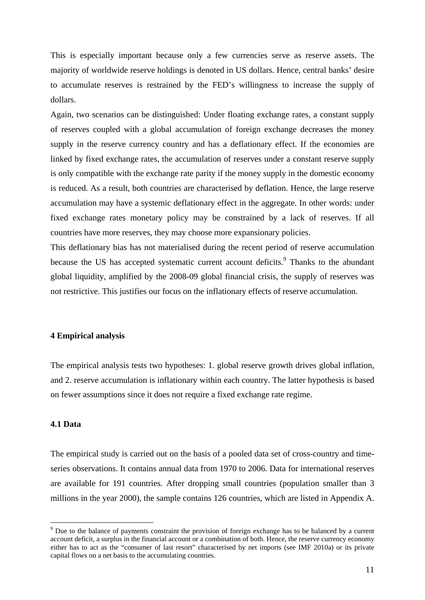This is especially important because only a few currencies serve as reserve assets. The majority of worldwide reserve holdings is denoted in US dollars. Hence, central banks' desire to accumulate reserves is restrained by the FED's willingness to increase the supply of dollars.

Again, two scenarios can be distinguished: Under floating exchange rates, a constant supply of reserves coupled with a global accumulation of foreign exchange decreases the money supply in the reserve currency country and has a deflationary effect. If the economies are linked by fixed exchange rates, the accumulation of reserves under a constant reserve supply is only compatible with the exchange rate parity if the money supply in the domestic economy is reduced. As a result, both countries are characterised by deflation. Hence, the large reserve accumulation may have a systemic deflationary effect in the aggregate. In other words: under fixed exchange rates monetary policy may be constrained by a lack of reserves. If all countries have more reserves, they may choose more expansionary policies.

This deflationary bias has not materialised during the recent period of reserve accumulation because the US has accepted systematic current account deficits.<sup>9</sup> Thanks to the abundant global liquidity, amplified by the 2008-09 global financial crisis, the supply of reserves was not restrictive. This justifies our focus on the inflationary effects of reserve accumulation.

#### **4 Empirical analysis**

The empirical analysis tests two hypotheses: 1. global reserve growth drives global inflation, and 2. reserve accumulation is inflationary within each country. The latter hypothesis is based on fewer assumptions since it does not require a fixed exchange rate regime.

### **4.1 Data**

1

The empirical study is carried out on the basis of a pooled data set of cross-country and timeseries observations. It contains annual data from 1970 to 2006. Data for international reserves are available for 191 countries. After dropping small countries (population smaller than 3 millions in the year 2000), the sample contains 126 countries, which are listed in Appendix A.

<sup>&</sup>lt;sup>9</sup> Due to the balance of payments constraint the provision of foreign exchange has to be balanced by a current account deficit, a surplus in the financial account or a combination of both. Hence, the reserve currency economy either has to act as the "consumer of last resort" characterised by net imports (see IMF 2010a) or its private capital flows on a net basis to the accumulating countries.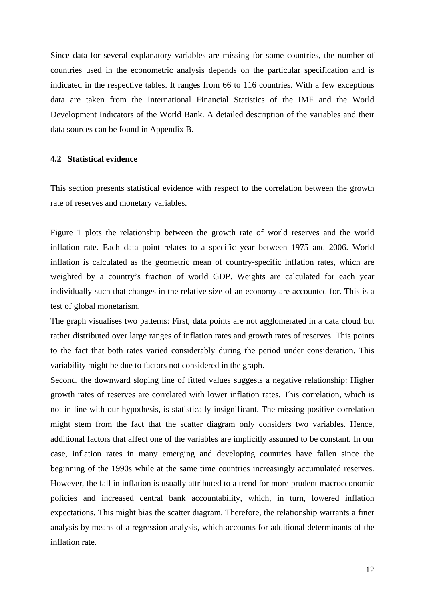Since data for several explanatory variables are missing for some countries, the number of countries used in the econometric analysis depends on the particular specification and is indicated in the respective tables. It ranges from 66 to 116 countries. With a few exceptions data are taken from the International Financial Statistics of the IMF and the World Development Indicators of the World Bank. A detailed description of the variables and their data sources can be found in Appendix B.

#### **4.2 Statistical evidence**

This section presents statistical evidence with respect to the correlation between the growth rate of reserves and monetary variables.

Figure 1 plots the relationship between the growth rate of world reserves and the world inflation rate. Each data point relates to a specific year between 1975 and 2006. World inflation is calculated as the geometric mean of country-specific inflation rates, which are weighted by a country's fraction of world GDP. Weights are calculated for each year individually such that changes in the relative size of an economy are accounted for. This is a test of global monetarism.

The graph visualises two patterns: First, data points are not agglomerated in a data cloud but rather distributed over large ranges of inflation rates and growth rates of reserves. This points to the fact that both rates varied considerably during the period under consideration. This variability might be due to factors not considered in the graph.

Second, the downward sloping line of fitted values suggests a negative relationship: Higher growth rates of reserves are correlated with lower inflation rates. This correlation, which is not in line with our hypothesis, is statistically insignificant. The missing positive correlation might stem from the fact that the scatter diagram only considers two variables. Hence, additional factors that affect one of the variables are implicitly assumed to be constant. In our case, inflation rates in many emerging and developing countries have fallen since the beginning of the 1990s while at the same time countries increasingly accumulated reserves. However, the fall in inflation is usually attributed to a trend for more prudent macroeconomic policies and increased central bank accountability, which, in turn, lowered inflation expectations. This might bias the scatter diagram. Therefore, the relationship warrants a finer analysis by means of a regression analysis, which accounts for additional determinants of the inflation rate.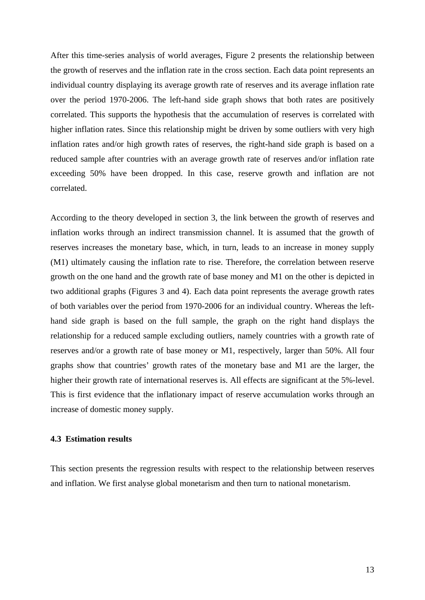After this time-series analysis of world averages, Figure 2 presents the relationship between the growth of reserves and the inflation rate in the cross section. Each data point represents an individual country displaying its average growth rate of reserves and its average inflation rate over the period 1970-2006. The left-hand side graph shows that both rates are positively correlated. This supports the hypothesis that the accumulation of reserves is correlated with higher inflation rates. Since this relationship might be driven by some outliers with very high inflation rates and/or high growth rates of reserves, the right-hand side graph is based on a reduced sample after countries with an average growth rate of reserves and/or inflation rate exceeding 50% have been dropped. In this case, reserve growth and inflation are not correlated.

According to the theory developed in section 3, the link between the growth of reserves and inflation works through an indirect transmission channel. It is assumed that the growth of reserves increases the monetary base, which, in turn, leads to an increase in money supply (M1) ultimately causing the inflation rate to rise. Therefore, the correlation between reserve growth on the one hand and the growth rate of base money and M1 on the other is depicted in two additional graphs (Figures 3 and 4). Each data point represents the average growth rates of both variables over the period from 1970-2006 for an individual country. Whereas the lefthand side graph is based on the full sample, the graph on the right hand displays the relationship for a reduced sample excluding outliers, namely countries with a growth rate of reserves and/or a growth rate of base money or M1, respectively, larger than 50%. All four graphs show that countries' growth rates of the monetary base and M1 are the larger, the higher their growth rate of international reserves is. All effects are significant at the 5%-level. This is first evidence that the inflationary impact of reserve accumulation works through an increase of domestic money supply.

### **4.3 Estimation results**

This section presents the regression results with respect to the relationship between reserves and inflation. We first analyse global monetarism and then turn to national monetarism.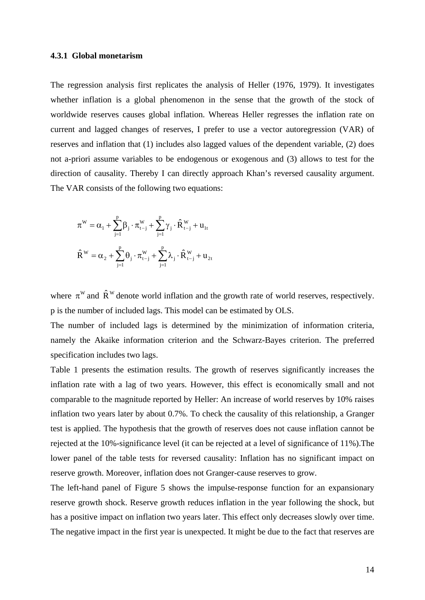#### **4.3.1 Global monetarism**

The regression analysis first replicates the analysis of Heller (1976, 1979). It investigates whether inflation is a global phenomenon in the sense that the growth of the stock of worldwide reserves causes global inflation. Whereas Heller regresses the inflation rate on current and lagged changes of reserves, I prefer to use a vector autoregression (VAR) of reserves and inflation that (1) includes also lagged values of the dependent variable, (2) does not a-priori assume variables to be endogenous or exogenous and (3) allows to test for the direction of causality. Thereby I can directly approach Khan's reversed causality argument. The VAR consists of the following two equations:

$$
\begin{aligned} \pi^{\boldsymbol{W}}&=\alpha_1+\sum_{j=1}^{p}\beta_j\cdot\pi_{\boldsymbol{t}-j}^{\boldsymbol{W}}+\sum_{j=1}^{p}\gamma_j\cdot\hat{\boldsymbol{R}}_{\boldsymbol{t}-j}^{\boldsymbol{W}}+\boldsymbol{u}_{1\boldsymbol{t}}\\ \hat{\boldsymbol{R}}^{\boldsymbol{W}}&=\alpha_2+\sum_{j=1}^{p}\theta_j\cdot\pi_{\boldsymbol{t}-j}^{\boldsymbol{W}}+\sum_{j=1}^{p}\lambda_j\cdot\hat{\boldsymbol{R}}_{\boldsymbol{t}-j}^{\boldsymbol{W}}+\boldsymbol{u}_{2\boldsymbol{t}} \end{aligned}
$$

where  $\pi^w$  and  $\hat{R}^w$  denote world inflation and the growth rate of world reserves, respectively. p is the number of included lags. This model can be estimated by OLS.

The number of included lags is determined by the minimization of information criteria, namely the Akaike information criterion and the Schwarz-Bayes criterion. The preferred specification includes two lags.

Table 1 presents the estimation results. The growth of reserves significantly increases the inflation rate with a lag of two years. However, this effect is economically small and not comparable to the magnitude reported by Heller: An increase of world reserves by 10% raises inflation two years later by about 0.7%. To check the causality of this relationship, a Granger test is applied. The hypothesis that the growth of reserves does not cause inflation cannot be rejected at the 10%-significance level (it can be rejected at a level of significance of 11%).The lower panel of the table tests for reversed causality: Inflation has no significant impact on reserve growth. Moreover, inflation does not Granger-cause reserves to grow.

The left-hand panel of Figure 5 shows the impulse-response function for an expansionary reserve growth shock. Reserve growth reduces inflation in the year following the shock, but has a positive impact on inflation two years later. This effect only decreases slowly over time. The negative impact in the first year is unexpected. It might be due to the fact that reserves are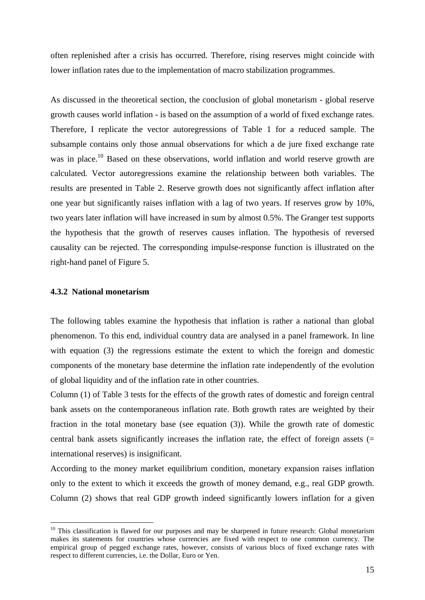often replenished after a crisis has occurred. Therefore, rising reserves might coincide with lower inflation rates due to the implementation of macro stabilization programmes.

As discussed in the theoretical section, the conclusion of global monetarism - global reserve growth causes world inflation - is based on the assumption of a world of fixed exchange rates. Therefore, I replicate the vector autoregressions of Table 1 for a reduced sample. The subsample contains only those annual observations for which a de jure fixed exchange rate was in place.<sup>10</sup> Based on these observations, world inflation and world reserve growth are calculated. Vector autoregressions examine the relationship between both variables. The results are presented in Table 2. Reserve growth does not significantly affect inflation after one year but significantly raises inflation with a lag of two years. If reserves grow by 10%, two years later inflation will have increased in sum by almost 0.5%. The Granger test supports the hypothesis that the growth of reserves causes inflation. The hypothesis of reversed causality can be rejected. The corresponding impulse-response function is illustrated on the right-hand panel of Figure 5.

#### **4.3.2 National monetarism**

1

The following tables examine the hypothesis that inflation is rather a national than global phenomenon. To this end, individual country data are analysed in a panel framework. In line with equation (3) the regressions estimate the extent to which the foreign and domestic components of the monetary base determine the inflation rate independently of the evolution of global liquidity and of the inflation rate in other countries.

Column (1) of Table 3 tests for the effects of the growth rates of domestic and foreign central bank assets on the contemporaneous inflation rate. Both growth rates are weighted by their fraction in the total monetary base (see equation (3)). While the growth rate of domestic central bank assets significantly increases the inflation rate, the effect of foreign assets  $(=$ international reserves) is insignificant.

According to the money market equilibrium condition, monetary expansion raises inflation only to the extent to which it exceeds the growth of money demand, e.g., real GDP growth. Column (2) shows that real GDP growth indeed significantly lowers inflation for a given

 $10$  This classification is flawed for our purposes and may be sharpened in future research: Global monetarism makes its statements for countries whose currencies are fixed with respect to one common currency. The empirical group of pegged exchange rates, however, consists of various blocs of fixed exchange rates with respect to different currencies, i.e. the Dollar, Euro or Yen.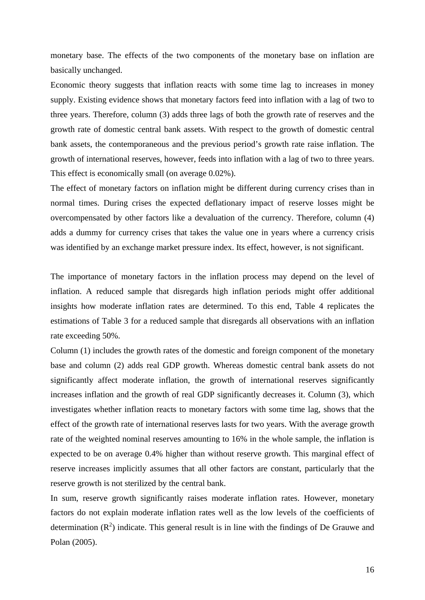monetary base. The effects of the two components of the monetary base on inflation are basically unchanged.

Economic theory suggests that inflation reacts with some time lag to increases in money supply. Existing evidence shows that monetary factors feed into inflation with a lag of two to three years. Therefore, column (3) adds three lags of both the growth rate of reserves and the growth rate of domestic central bank assets. With respect to the growth of domestic central bank assets, the contemporaneous and the previous period's growth rate raise inflation. The growth of international reserves, however, feeds into inflation with a lag of two to three years. This effect is economically small (on average 0.02%).

The effect of monetary factors on inflation might be different during currency crises than in normal times. During crises the expected deflationary impact of reserve losses might be overcompensated by other factors like a devaluation of the currency. Therefore, column (4) adds a dummy for currency crises that takes the value one in years where a currency crisis was identified by an exchange market pressure index. Its effect, however, is not significant.

The importance of monetary factors in the inflation process may depend on the level of inflation. A reduced sample that disregards high inflation periods might offer additional insights how moderate inflation rates are determined. To this end, Table 4 replicates the estimations of Table 3 for a reduced sample that disregards all observations with an inflation rate exceeding 50%.

Column (1) includes the growth rates of the domestic and foreign component of the monetary base and column (2) adds real GDP growth. Whereas domestic central bank assets do not significantly affect moderate inflation, the growth of international reserves significantly increases inflation and the growth of real GDP significantly decreases it. Column (3), which investigates whether inflation reacts to monetary factors with some time lag, shows that the effect of the growth rate of international reserves lasts for two years. With the average growth rate of the weighted nominal reserves amounting to 16% in the whole sample, the inflation is expected to be on average 0.4% higher than without reserve growth. This marginal effect of reserve increases implicitly assumes that all other factors are constant, particularly that the reserve growth is not sterilized by the central bank.

In sum, reserve growth significantly raises moderate inflation rates. However, monetary factors do not explain moderate inflation rates well as the low levels of the coefficients of determination  $(R^2)$  indicate. This general result is in line with the findings of De Grauwe and Polan (2005).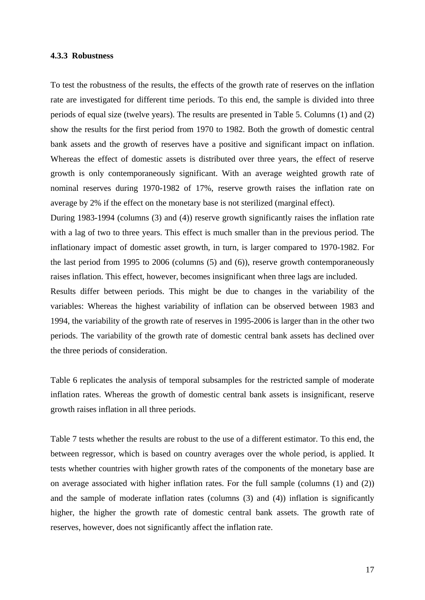#### **4.3.3 Robustness**

To test the robustness of the results, the effects of the growth rate of reserves on the inflation rate are investigated for different time periods. To this end, the sample is divided into three periods of equal size (twelve years). The results are presented in Table 5. Columns (1) and (2) show the results for the first period from 1970 to 1982. Both the growth of domestic central bank assets and the growth of reserves have a positive and significant impact on inflation. Whereas the effect of domestic assets is distributed over three years, the effect of reserve growth is only contemporaneously significant. With an average weighted growth rate of nominal reserves during 1970-1982 of 17%, reserve growth raises the inflation rate on average by 2% if the effect on the monetary base is not sterilized (marginal effect).

During 1983-1994 (columns (3) and (4)) reserve growth significantly raises the inflation rate with a lag of two to three years. This effect is much smaller than in the previous period. The inflationary impact of domestic asset growth, in turn, is larger compared to 1970-1982. For the last period from 1995 to 2006 (columns (5) and (6)), reserve growth contemporaneously raises inflation. This effect, however, becomes insignificant when three lags are included.

Results differ between periods. This might be due to changes in the variability of the variables: Whereas the highest variability of inflation can be observed between 1983 and 1994, the variability of the growth rate of reserves in 1995-2006 is larger than in the other two periods. The variability of the growth rate of domestic central bank assets has declined over the three periods of consideration.

Table 6 replicates the analysis of temporal subsamples for the restricted sample of moderate inflation rates. Whereas the growth of domestic central bank assets is insignificant, reserve growth raises inflation in all three periods.

Table 7 tests whether the results are robust to the use of a different estimator. To this end, the between regressor, which is based on country averages over the whole period, is applied. It tests whether countries with higher growth rates of the components of the monetary base are on average associated with higher inflation rates. For the full sample (columns (1) and (2)) and the sample of moderate inflation rates (columns (3) and (4)) inflation is significantly higher, the higher the growth rate of domestic central bank assets. The growth rate of reserves, however, does not significantly affect the inflation rate.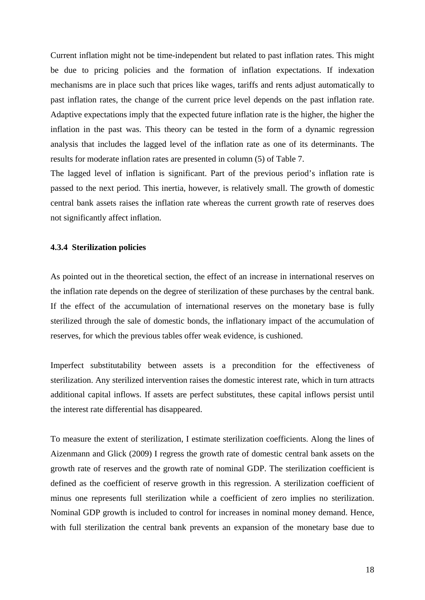Current inflation might not be time-independent but related to past inflation rates. This might be due to pricing policies and the formation of inflation expectations. If indexation mechanisms are in place such that prices like wages, tariffs and rents adjust automatically to past inflation rates, the change of the current price level depends on the past inflation rate. Adaptive expectations imply that the expected future inflation rate is the higher, the higher the inflation in the past was. This theory can be tested in the form of a dynamic regression analysis that includes the lagged level of the inflation rate as one of its determinants. The results for moderate inflation rates are presented in column (5) of Table 7.

The lagged level of inflation is significant. Part of the previous period's inflation rate is passed to the next period. This inertia, however, is relatively small. The growth of domestic central bank assets raises the inflation rate whereas the current growth rate of reserves does not significantly affect inflation.

#### **4.3.4 Sterilization policies**

As pointed out in the theoretical section, the effect of an increase in international reserves on the inflation rate depends on the degree of sterilization of these purchases by the central bank. If the effect of the accumulation of international reserves on the monetary base is fully sterilized through the sale of domestic bonds, the inflationary impact of the accumulation of reserves, for which the previous tables offer weak evidence, is cushioned.

Imperfect substitutability between assets is a precondition for the effectiveness of sterilization. Any sterilized intervention raises the domestic interest rate, which in turn attracts additional capital inflows. If assets are perfect substitutes, these capital inflows persist until the interest rate differential has disappeared.

To measure the extent of sterilization, I estimate sterilization coefficients. Along the lines of Aizenmann and Glick (2009) I regress the growth rate of domestic central bank assets on the growth rate of reserves and the growth rate of nominal GDP. The sterilization coefficient is defined as the coefficient of reserve growth in this regression. A sterilization coefficient of minus one represents full sterilization while a coefficient of zero implies no sterilization. Nominal GDP growth is included to control for increases in nominal money demand. Hence, with full sterilization the central bank prevents an expansion of the monetary base due to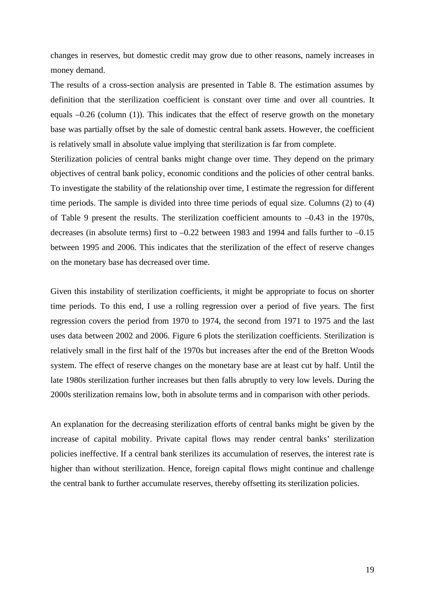changes in reserves, but domestic credit may grow due to other reasons, namely increases in money demand.

The results of a cross-section analysis are presented in Table 8. The estimation assumes by definition that the sterilization coefficient is constant over time and over all countries. It equals –0.26 (column (1)). This indicates that the effect of reserve growth on the monetary base was partially offset by the sale of domestic central bank assets. However, the coefficient is relatively small in absolute value implying that sterilization is far from complete.

Sterilization policies of central banks might change over time. They depend on the primary objectives of central bank policy, economic conditions and the policies of other central banks. To investigate the stability of the relationship over time, I estimate the regression for different time periods. The sample is divided into three time periods of equal size. Columns (2) to (4) of Table 9 present the results. The sterilization coefficient amounts to –0.43 in the 1970s, decreases (in absolute terms) first to –0.22 between 1983 and 1994 and falls further to –0.15 between 1995 and 2006. This indicates that the sterilization of the effect of reserve changes on the monetary base has decreased over time.

Given this instability of sterilization coefficients, it might be appropriate to focus on shorter time periods. To this end, I use a rolling regression over a period of five years. The first regression covers the period from 1970 to 1974, the second from 1971 to 1975 and the last uses data between 2002 and 2006. Figure 6 plots the sterilization coefficients. Sterilization is relatively small in the first half of the 1970s but increases after the end of the Bretton Woods system. The effect of reserve changes on the monetary base are at least cut by half. Until the late 1980s sterilization further increases but then falls abruptly to very low levels. During the 2000s sterilization remains low, both in absolute terms and in comparison with other periods.

An explanation for the decreasing sterilization efforts of central banks might be given by the increase of capital mobility. Private capital flows may render central banks' sterilization policies ineffective. If a central bank sterilizes its accumulation of reserves, the interest rate is higher than without sterilization. Hence, foreign capital flows might continue and challenge the central bank to further accumulate reserves, thereby offsetting its sterilization policies.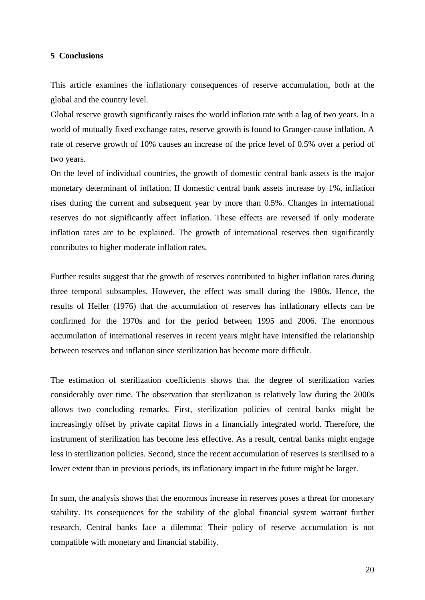### **5 Conclusions**

This article examines the inflationary consequences of reserve accumulation, both at the global and the country level.

Global reserve growth significantly raises the world inflation rate with a lag of two years. In a world of mutually fixed exchange rates, reserve growth is found to Granger-cause inflation. A rate of reserve growth of 10% causes an increase of the price level of 0.5% over a period of two years.

On the level of individual countries, the growth of domestic central bank assets is the major monetary determinant of inflation. If domestic central bank assets increase by 1%, inflation rises during the current and subsequent year by more than 0.5%. Changes in international reserves do not significantly affect inflation. These effects are reversed if only moderate inflation rates are to be explained. The growth of international reserves then significantly contributes to higher moderate inflation rates.

Further results suggest that the growth of reserves contributed to higher inflation rates during three temporal subsamples. However, the effect was small during the 1980s. Hence, the results of Heller (1976) that the accumulation of reserves has inflationary effects can be confirmed for the 1970s and for the period between 1995 and 2006. The enormous accumulation of international reserves in recent years might have intensified the relationship between reserves and inflation since sterilization has become more difficult.

The estimation of sterilization coefficients shows that the degree of sterilization varies considerably over time. The observation that sterilization is relatively low during the 2000s allows two concluding remarks. First, sterilization policies of central banks might be increasingly offset by private capital flows in a financially integrated world. Therefore, the instrument of sterilization has become less effective. As a result, central banks might engage less in sterilization policies. Second, since the recent accumulation of reserves is sterilised to a lower extent than in previous periods, its inflationary impact in the future might be larger.

In sum, the analysis shows that the enormous increase in reserves poses a threat for monetary stability. Its consequences for the stability of the global financial system warrant further research. Central banks face a dilemma: Their policy of reserve accumulation is not compatible with monetary and financial stability.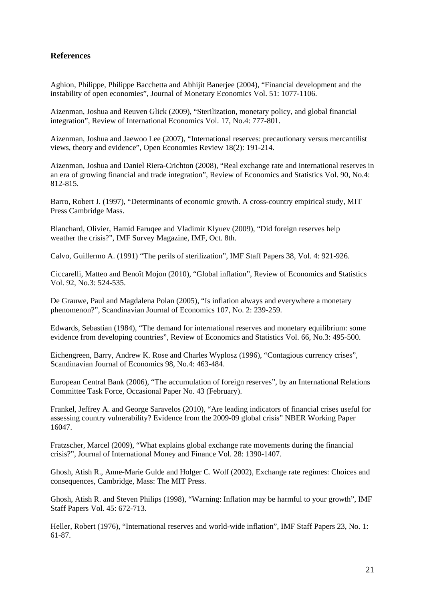# **References**

Aghion, Philippe, Philippe Bacchetta and Abhijit Banerjee (2004), "Financial development and the instability of open economies", Journal of Monetary Economics Vol. 51: 1077-1106.

Aizenman, Joshua and Reuven Glick (2009), "Sterilization, monetary policy, and global financial integration", Review of International Economics Vol. 17, No.4: 777-801.

Aizenman, Joshua and Jaewoo Lee (2007), "International reserves: precautionary versus mercantilist views, theory and evidence", Open Economies Review 18(2): 191-214.

Aizenman, Joshua and Daniel Riera-Crichton (2008), "Real exchange rate and international reserves in an era of growing financial and trade integration", Review of Economics and Statistics Vol. 90, No.4: 812-815.

Barro, Robert J. (1997), "Determinants of economic growth. A cross-country empirical study, MIT Press Cambridge Mass.

Blanchard, Olivier, Hamid Faruqee and Vladimir Klyuev (2009), "Did foreign reserves help weather the crisis?", IMF Survey Magazine, IMF, Oct. 8th.

Calvo, Guillermo A. (1991) "The perils of sterilization", IMF Staff Papers 38, Vol. 4: 921-926.

Ciccarelli, Matteo and Benoît Mojon (2010), "Global inflation", Review of Economics and Statistics Vol. 92, No.3: 524-535.

De Grauwe, Paul and Magdalena Polan (2005), "Is inflation always and everywhere a monetary phenomenon?", Scandinavian Journal of Economics 107, No. 2: 239-259.

Edwards, Sebastian (1984), "The demand for international reserves and monetary equilibrium: some evidence from developing countries", Review of Economics and Statistics Vol. 66, No.3: 495-500.

Eichengreen, Barry, Andrew K. Rose and Charles Wyplosz (1996), "Contagious currency crises", Scandinavian Journal of Economics 98, No.4: 463-484.

European Central Bank (2006), "The accumulation of foreign reserves", by an International Relations Committee Task Force, Occasional Paper No. 43 (February).

Frankel, Jeffrey A. and George Saravelos (2010), "Are leading indicators of financial crises useful for assessing country vulnerability? Evidence from the 2009-09 global crisis" NBER Working Paper 16047.

Fratzscher, Marcel (2009), "What explains global exchange rate movements during the financial crisis?", Journal of International Money and Finance Vol. 28: 1390-1407.

Ghosh, Atish R., Anne-Marie Gulde and Holger C. Wolf (2002), Exchange rate regimes: Choices and consequences, Cambridge, Mass: The MIT Press.

Ghosh, Atish R. and Steven Philips (1998), "Warning: Inflation may be harmful to your growth", IMF Staff Papers Vol. 45: 672-713.

Heller, Robert (1976), "International reserves and world-wide inflation", IMF Staff Papers 23, No. 1: 61-87.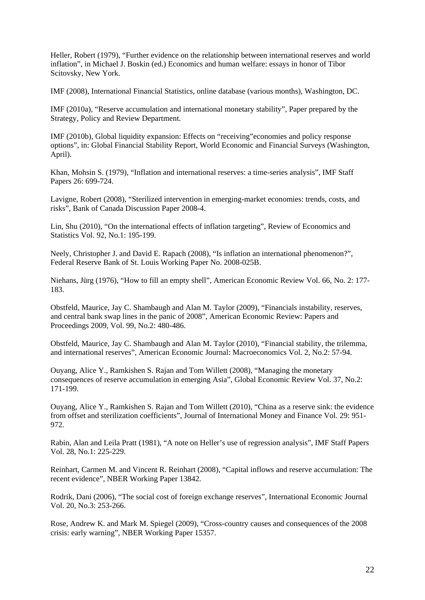Heller, Robert (1979), "Further evidence on the relationship between international reserves and world inflation", in Michael J. Boskin (ed.) Economics and human welfare: essays in honor of Tibor Scitovsky, New York.

IMF (2008), International Financial Statistics, online database (various months), Washington, DC.

IMF (2010a), "Reserve accumulation and international monetary stability", Paper prepared by the Strategy, Policy and Review Department.

IMF (2010b), Global liquidity expansion: Effects on "receiving"economies and policy response options", in: Global Financial Stability Report, World Economic and Financial Surveys (Washington, April).

Khan, Mohsin S. (1979), "Inflation and international reserves: a time-series analysis", IMF Staff Papers 26: 699-724.

Lavigne, Robert (2008), "Sterilized intervention in emerging-market economies: trends, costs, and risks", Bank of Canada Discussion Paper 2008-4.

Lin, Shu (2010), "On the international effects of inflation targeting", Review of Economics and Statistics Vol. 92, No.1: 195-199.

Neely, Christopher J. and David E. Rapach (2008), "Is inflation an international phenomenon?", Federal Reserve Bank of St. Louis Working Paper No. 2008-025B.

Niehans, Jürg (1976), "How to fill an empty shell", American Economic Review Vol. 66, No. 2: 177- 183.

Obstfeld, Maurice, Jay C. Shambaugh and Alan M. Taylor (2009), "Financials instability, reserves, and central bank swap lines in the panic of 2008", American Economic Review: Papers and Proceedings 2009, Vol. 99, No.2: 480-486.

Obstfeld, Maurice, Jay C. Shambaugh and Alan M. Taylor (2010), "Financial stability, the trilemma, and international reserves", American Economic Journal: Macroeconomics Vol. 2, No.2: 57-94.

Ouyang, Alice Y., Ramkishen S. Rajan and Tom Willett (2008), "Managing the monetary consequences of reserve accumulation in emerging Asia", Global Economic Review Vol. 37, No.2: 171-199.

Ouyang, Alice Y., Ramkishen S. Rajan and Tom Willett (2010), "China as a reserve sink: the evidence from offset and sterilization coefficients", Journal of International Money and Finance Vol. 29: 951- 972.

Rabin, Alan and Leila Pratt (1981), "A note on Heller's use of regression analysis", IMF Staff Papers Vol. 28, No.1: 225-229.

Reinhart, Carmen M. and Vincent R. Reinhart (2008), "Capital inflows and reserve accumulation: The recent evidence", NBER Working Paper 13842.

Rodrik, Dani (2006), "The social cost of foreign exchange reserves", International Economic Journal Vol. 20, No.3: 253-266.

Rose, Andrew K. and Mark M. Spiegel (2009), "Cross-country causes and consequences of the 2008 crisis: early warning", NBER Working Paper 15357.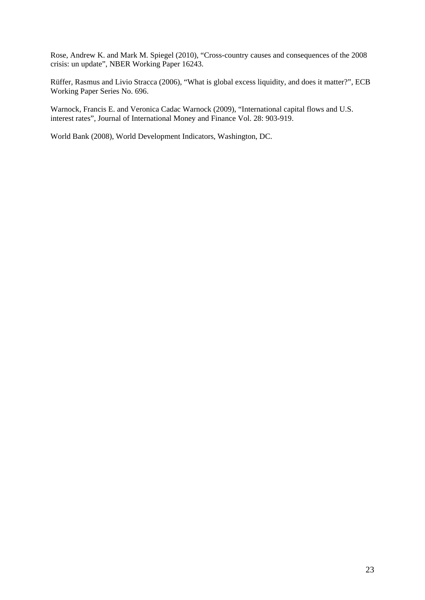Rose, Andrew K. and Mark M. Spiegel (2010), "Cross-country causes and consequences of the 2008 crisis: un update", NBER Working Paper 16243.

Rüffer, Rasmus and Livio Stracca (2006), "What is global excess liquidity, and does it matter?", ECB Working Paper Series No. 696.

Warnock, Francis E. and Veronica Cadac Warnock (2009), "International capital flows and U.S. interest rates", Journal of International Money and Finance Vol. 28: 903-919.

World Bank (2008), World Development Indicators, Washington, DC.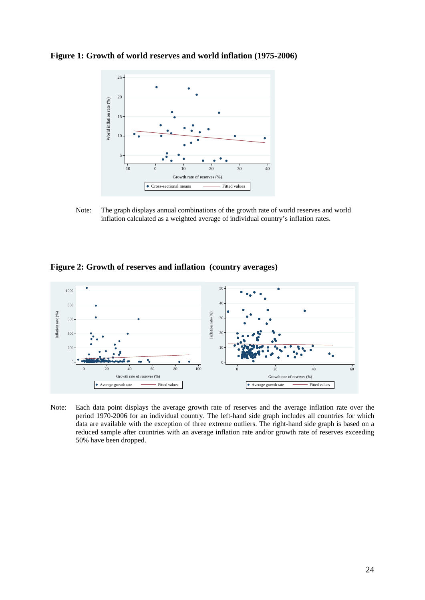**Figure 1: Growth of world reserves and world inflation (1975-2006)** 



Note: The graph displays annual combinations of the growth rate of world reserves and world inflation calculated as a weighted average of individual country's inflation rates.





Note: Each data point displays the average growth rate of reserves and the average inflation rate over the period 1970-2006 for an individual country. The left-hand side graph includes all countries for which data are available with the exception of three extreme outliers. The right-hand side graph is based on a reduced sample after countries with an average inflation rate and/or growth rate of reserves exceeding 50% have been dropped.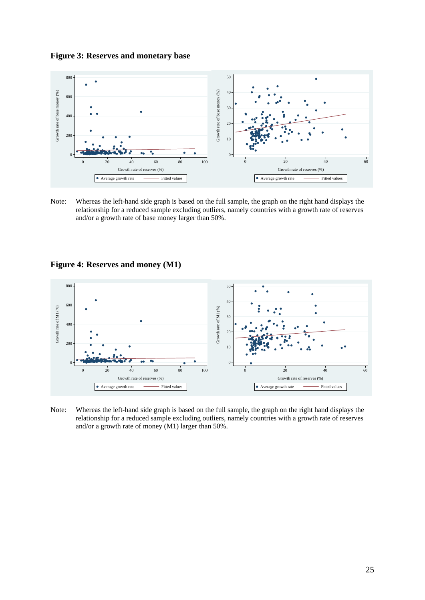**Figure 3: Reserves and monetary base** 



Note: Whereas the left-hand side graph is based on the full sample, the graph on the right hand displays the relationship for a reduced sample excluding outliers, namely countries with a growth rate of reserves and/or a growth rate of base money larger than 50%.





Note: Whereas the left-hand side graph is based on the full sample, the graph on the right hand displays the relationship for a reduced sample excluding outliers, namely countries with a growth rate of reserves and/or a growth rate of money (M1) larger than 50%.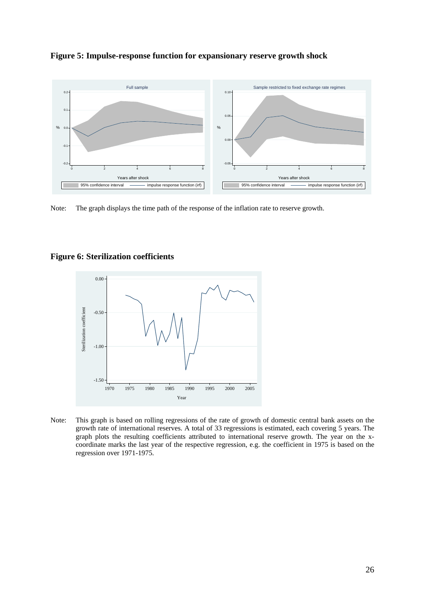

**Figure 5: Impulse-response function for expansionary reserve growth shock** 

Note: The graph displays the time path of the response of the inflation rate to reserve growth.



### **Figure 6: Sterilization coefficients**

Note: This graph is based on rolling regressions of the rate of growth of domestic central bank assets on the growth rate of international reserves. A total of 33 regressions is estimated, each covering 5 years. The graph plots the resulting coefficients attributed to international reserve growth. The year on the xcoordinate marks the last year of the respective regression, e.g. the coefficient in 1975 is based on the regression over 1971-1975.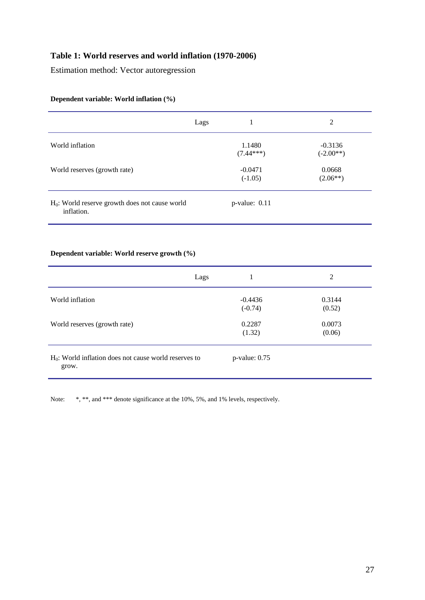# **Table 1: World reserves and world inflation (1970-2006)**

Estimation method: Vector autoregression

|                                                                 | Lags                   | 2                        |
|-----------------------------------------------------------------|------------------------|--------------------------|
| World inflation                                                 | 1.1480<br>$(7.44***)$  | $-0.3136$<br>$(-2.00**)$ |
| World reserves (growth rate)                                    | $-0.0471$<br>$(-1.05)$ | 0.0668<br>$(2.06**)$     |
| $H_0$ : World reserve growth does not cause world<br>inflation. | $p$ -value: $0.11$     |                          |

# **Dependent variable: World inflation (%)**

### **Dependent variable: World reserve growth (%)**

| Lags                                                              | 1                      | 2                |
|-------------------------------------------------------------------|------------------------|------------------|
| World inflation                                                   | $-0.4436$<br>$(-0.74)$ | 0.3144<br>(0.52) |
| World reserves (growth rate)                                      | 0.2287<br>(1.32)       | 0.0073<br>(0.06) |
| $H_0$ : World inflation does not cause world reserves to<br>grow. | $p$ -value: $0.75$     |                  |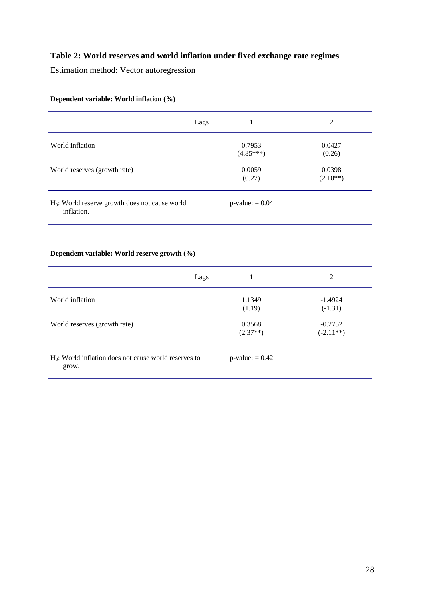# **Table 2: World reserves and world inflation under fixed exchange rate regimes**

Estimation method: Vector autoregression

|                                                                          | Lags                  | 2                    |
|--------------------------------------------------------------------------|-----------------------|----------------------|
| World inflation                                                          | 0.7953<br>$(4.85***)$ | 0.0427<br>(0.26)     |
| World reserves (growth rate)                                             | 0.0059<br>(0.27)      | 0.0398<br>$(2.10**)$ |
| H <sub>0</sub> : World reserve growth does not cause world<br>inflation. | $p$ -value: $= 0.04$  |                      |

# **Dependent variable: World inflation (%)**

### **Dependent variable: World reserve growth (%)**

| Lags                                                              |                      | 2                        |
|-------------------------------------------------------------------|----------------------|--------------------------|
| World inflation                                                   | 1.1349<br>(1.19)     | $-1.4924$<br>$(-1.31)$   |
| World reserves (growth rate)                                      | 0.3568<br>$(2.37**)$ | $-0.2752$<br>$(-2.11**)$ |
| $H_0$ : World inflation does not cause world reserves to<br>grow. | $p$ -value: = 0.42   |                          |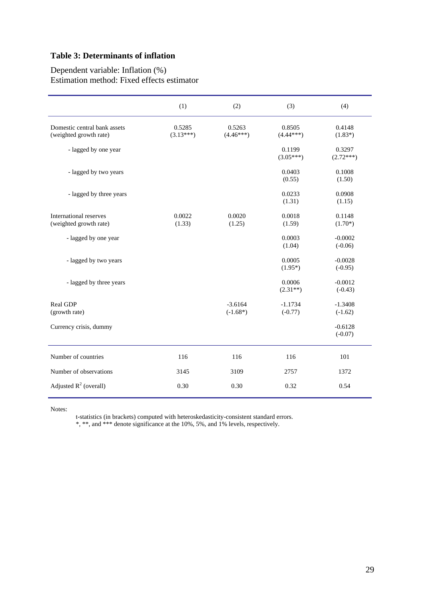# **Table 3: Determinants of inflation**

### Dependent variable: Inflation (%) Estimation method: Fixed effects estimator

|                                                        | (1)                   | (2)                     | (3)                    | (4)                    |
|--------------------------------------------------------|-----------------------|-------------------------|------------------------|------------------------|
| Domestic central bank assets<br>(weighted growth rate) | 0.5285<br>$(3.13***)$ | 0.5263<br>$(4.46***)$   | 0.8505<br>$(4.44***)$  | 0.4148<br>$(1.83*)$    |
| - lagged by one year                                   |                       |                         | 0.1199<br>$(3.05***)$  | 0.3297<br>$(2.72***)$  |
| - lagged by two years                                  |                       |                         | 0.0403<br>(0.55)       | 0.1008<br>(1.50)       |
| - lagged by three years                                |                       |                         | 0.0233<br>(1.31)       | 0.0908<br>(1.15)       |
| International reserves<br>(weighted growth rate)       | 0.0022<br>(1.33)      | 0.0020<br>(1.25)        | 0.0018<br>(1.59)       | 0.1148<br>$(1.70*)$    |
| - lagged by one year                                   |                       |                         | 0.0003<br>(1.04)       | $-0.0002$<br>$(-0.06)$ |
| - lagged by two years                                  |                       |                         | 0.0005<br>$(1.95*)$    | $-0.0028$<br>$(-0.95)$ |
| - lagged by three years                                |                       |                         | 0.0006<br>$(2.31**)$   | $-0.0012$<br>$(-0.43)$ |
| <b>Real GDP</b><br>(growth rate)                       |                       | $-3.6164$<br>$(-1.68*)$ | $-1.1734$<br>$(-0.77)$ | $-1.3408$<br>$(-1.62)$ |
| Currency crisis, dummy                                 |                       |                         |                        | $-0.6128$<br>$(-0.07)$ |
| Number of countries                                    | 116                   | 116                     | 116                    | 101                    |
| Number of observations                                 | 3145                  | 3109                    | 2757                   | 1372                   |
| Adjusted $R^2$ (overall)                               | 0.30                  | 0.30                    | 0.32                   | 0.54                   |

Notes:

t-statistics (in brackets) computed with heteroskedasticity-consistent standard errors.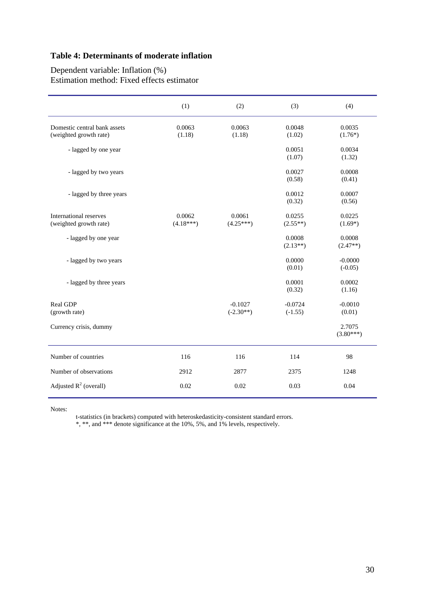# **Table 4: Determinants of moderate inflation**

### Dependent variable: Inflation (%) Estimation method: Fixed effects estimator

|                                                        | (1)                   | (2)                      | (3)                    | (4)                    |
|--------------------------------------------------------|-----------------------|--------------------------|------------------------|------------------------|
| Domestic central bank assets<br>(weighted growth rate) | 0.0063<br>(1.18)      | 0.0063<br>(1.18)         | 0.0048<br>(1.02)       | 0.0035<br>$(1.76*)$    |
| - lagged by one year                                   |                       |                          | 0.0051<br>(1.07)       | 0.0034<br>(1.32)       |
| - lagged by two years                                  |                       |                          | 0.0027<br>(0.58)       | 0.0008<br>(0.41)       |
| - lagged by three years                                |                       |                          | 0.0012<br>(0.32)       | 0.0007<br>(0.56)       |
| International reserves<br>(weighted growth rate)       | 0.0062<br>$(4.18***)$ | 0.0061<br>$(4.25***)$    | 0.0255<br>$(2.55**)$   | 0.0225<br>$(1.69*)$    |
| - lagged by one year                                   |                       |                          | 0.0008<br>$(2.13**)$   | 0.0008<br>$(2.47**)$   |
| - lagged by two years                                  |                       |                          | 0.0000<br>(0.01)       | $-0.0000$<br>$(-0.05)$ |
| - lagged by three years                                |                       |                          | 0.0001<br>(0.32)       | 0.0002<br>(1.16)       |
| Real GDP<br>(growth rate)                              |                       | $-0.1027$<br>$(-2.30**)$ | $-0.0724$<br>$(-1.55)$ | $-0.0010$<br>(0.01)    |
| Currency crisis, dummy                                 |                       |                          |                        | 2.7075<br>$(3.80***)$  |
| Number of countries                                    | 116                   | 116                      | 114                    | 98                     |
| Number of observations                                 | 2912                  | 2877                     | 2375                   | 1248                   |
| Adjusted $R^2$ (overall)                               | 0.02                  | 0.02                     | 0.03                   | 0.04                   |

Notes:

t-statistics (in brackets) computed with heteroskedasticity-consistent standard errors.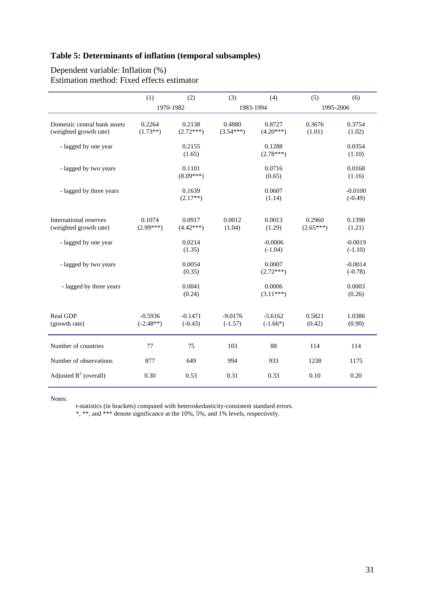# **Table 5: Determinants of inflation (temporal subsamples)**

### Dependent variable: Inflation (%) Estimation method: Fixed effects estimator

|                                                        | (1)                      | (2)                    | (3)                    | (4)                     | (5)                   | (6)                    |
|--------------------------------------------------------|--------------------------|------------------------|------------------------|-------------------------|-----------------------|------------------------|
|                                                        |                          | 1970-1982              |                        | 1983-1994               | 1995-2006             |                        |
| Domestic central bank assets<br>(weighted growth rate) | 0.2264<br>$(1.73**)$     | 0.2138<br>$(2.72***)$  | 0.4880<br>$(3.54***)$  | 0.8727<br>$(4.20***)$   | 0.3676<br>(1.01)      | 0.3754<br>(1.02)       |
| - lagged by one year                                   |                          | 0.2155<br>(1.65)       |                        | 0.1288<br>$(2.78***)$   |                       | 0.0354<br>(1.10)       |
| - lagged by two years                                  |                          | 0.1101<br>$(8.09***)$  |                        | 0.0716<br>(0.65)        |                       | 0.0168<br>(1.16)       |
| - lagged by three years                                |                          | 0.1639<br>$(2.17**)$   |                        | 0.0607<br>(1.14)        |                       | $-0.0100$<br>$(-0.49)$ |
| International reserves<br>(weighted growth rate)       | 0.1074<br>$(2.99***)$    | 0.0917<br>$(4.42***)$  | 0.0012<br>(1.04)       | 0.0013<br>(1.29)        | 0.2960<br>$(2.65***)$ | 0.1390<br>(1.21)       |
| - lagged by one year                                   |                          | 0.0214<br>(1.35)       |                        | $-0.0006$<br>$(-1.04)$  |                       | $-0.0019$<br>$(-1.10)$ |
| - lagged by two years                                  |                          | 0.0054<br>(0.35)       |                        | 0.0007<br>$(2.72***)$   |                       | $-0.0014$<br>$(-0.78)$ |
| - lagged by three years                                |                          | 0.0041<br>(0.24)       |                        | 0.0006<br>$(3.11***)$   |                       | 0.0003<br>(0.26)       |
| Real GDP<br>(growth rate)                              | $-0.5936$<br>$(-2.48**)$ | $-0.1471$<br>$(-0.43)$ | $-9.0176$<br>$(-1.57)$ | $-5.6162$<br>$(-1.66*)$ | 0.5821<br>(0.42)      | 1.0386<br>(0.90)       |
| Number of countries                                    | 77                       | 75                     | 103                    | 88                      | 114                   | 114                    |
| Number of observations                                 | 877                      | 649                    | 994                    | 933                     | 1238                  | 1175                   |
| Adjusted $R^2$ (overall)                               | 0.30                     | 0.53                   | 0.31                   | 0.33                    | 0.10                  | 0.20                   |

Notes:

t-statistics (in brackets) computed with heteroskedasticity-consistent standard errors.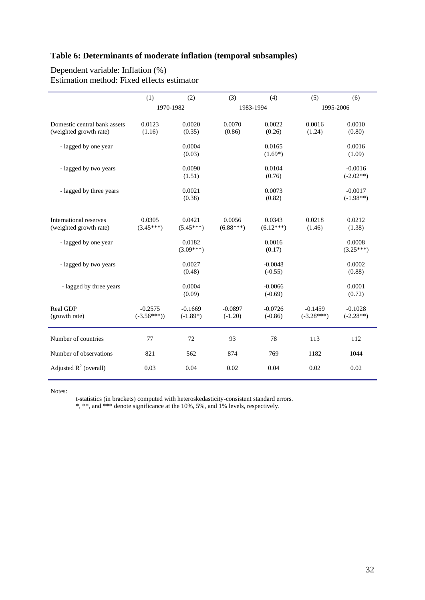# **Table 6: Determinants of moderate inflation (temporal subsamples)**

### Dependent variable: Inflation (%) Estimation method: Fixed effects estimator

|                                                        | (1)                       | (2)                     | (3)                    | (4)                    | (5)                       | (6)                      |
|--------------------------------------------------------|---------------------------|-------------------------|------------------------|------------------------|---------------------------|--------------------------|
|                                                        | 1970-1982                 |                         |                        | 1983-1994              | 1995-2006                 |                          |
| Domestic central bank assets<br>(weighted growth rate) | 0.0123<br>(1.16)          | 0.0020<br>(0.35)        | 0.0070<br>(0.86)       | 0.0022<br>(0.26)       | 0.0016<br>(1.24)          | 0.0010<br>(0.80)         |
| - lagged by one year                                   |                           | 0.0004<br>(0.03)        |                        | 0.0165<br>$(1.69*)$    |                           | 0.0016<br>(1.09)         |
| - lagged by two years                                  |                           | 0.0090<br>(1.51)        |                        | 0.0104<br>(0.76)       |                           | $-0.0016$<br>$(-2.02**)$ |
| - lagged by three years                                |                           | 0.0021<br>(0.38)        |                        | 0.0073<br>(0.82)       |                           | $-0.0017$<br>$(-1.98**)$ |
| International reserves<br>(weighted growth rate)       | 0.0305<br>$(3.45***)$     | 0.0421<br>$(5.45***)$   | 0.0056<br>$(6.88***)$  | 0.0343<br>$(6.12***)$  | 0.0218<br>(1.46)          | 0.0212<br>(1.38)         |
| - lagged by one year                                   |                           | 0.0182<br>$(3.09***)$   |                        | 0.0016<br>(0.17)       |                           | 0.0008<br>$(3.25***)$    |
| - lagged by two years                                  |                           | 0.0027<br>(0.48)        |                        | $-0.0048$<br>$(-0.55)$ |                           | 0.0002<br>(0.88)         |
| - lagged by three years                                |                           | 0.0004<br>(0.09)        |                        | $-0.0066$<br>$(-0.69)$ |                           | 0.0001<br>(0.72)         |
| Real GDP<br>(growth rate)                              | $-0.2575$<br>$(-3.56***)$ | $-0.1669$<br>$(-1.89*)$ | $-0.0897$<br>$(-1.20)$ | $-0.0726$<br>$(-0.86)$ | $-0.1459$<br>$(-3.28***)$ | $-0.1028$<br>$(-2.28**)$ |
| Number of countries                                    | 77                        | 72                      | 93                     | 78                     | 113                       | 112                      |
| Number of observations                                 | 821                       | 562                     | 874                    | 769                    | 1182                      | 1044                     |
| Adjusted $R^2$ (overall)                               | 0.03                      | 0.04                    | 0.02                   | 0.04                   | 0.02                      | 0.02                     |

Notes:

t-statistics (in brackets) computed with heteroskedasticity-consistent standard errors.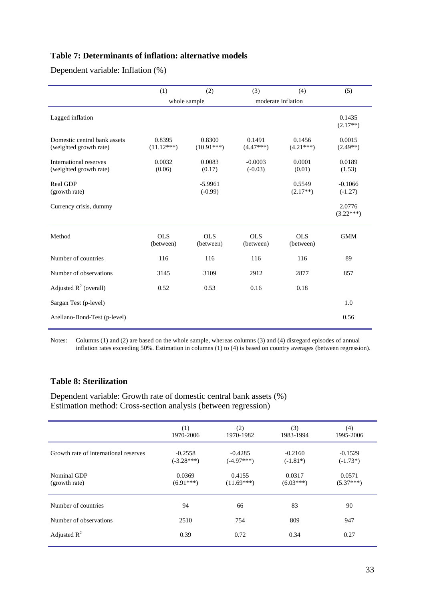# **Table 7: Determinants of inflation: alternative models**

Dependent variable: Inflation (%)

|                                                        | (1)                     | (2)                     | (3)                     | (4)                     | (5)                    |
|--------------------------------------------------------|-------------------------|-------------------------|-------------------------|-------------------------|------------------------|
|                                                        |                         | whole sample            |                         | moderate inflation      |                        |
| Lagged inflation                                       |                         |                         |                         |                         | 0.1435<br>$(2.17**)$   |
| Domestic central bank assets<br>(weighted growth rate) | 0.8395<br>$(11.12***)$  | 0.8300<br>$(10.91***)$  | 0.1491<br>$(4.47***)$   | 0.1456<br>$(4.21***)$   | 0.0015<br>$(2.49**)$   |
| International reserves<br>(weighted growth rate)       | 0.0032<br>(0.06)        | 0.0083<br>(0.17)        | $-0.0003$<br>$(-0.03)$  | 0.0001<br>(0.01)        | 0.0189<br>(1.53)       |
| Real GDP<br>(growth rate)                              |                         | $-5.9961$<br>$(-0.99)$  |                         | 0.5549<br>$(2.17**)$    | $-0.1066$<br>$(-1.27)$ |
| Currency crisis, dummy                                 |                         |                         |                         |                         | 2.0776<br>$(3.22***)$  |
| Method                                                 | <b>OLS</b><br>(between) | <b>OLS</b><br>(between) | <b>OLS</b><br>(between) | <b>OLS</b><br>(between) | <b>GMM</b>             |
| Number of countries                                    | 116                     | 116                     | 116                     | 116                     | 89                     |
| Number of observations                                 | 3145                    | 3109                    | 2912                    | 2877                    | 857                    |
| Adjusted $R^2$ (overall)                               | 0.52                    | 0.53                    | 0.16                    | 0.18                    |                        |
| Sargan Test (p-level)                                  |                         |                         |                         |                         | 1.0                    |
| Arellano-Bond-Test (p-level)                           |                         |                         |                         |                         | 0.56                   |

Notes: Columns (1) and (2) are based on the whole sample, whereas columns (3) and (4) disregard episodes of annual inflation rates exceeding 50%. Estimation in columns (1) to (4) is based on country averages (between regression).

# **Table 8: Sterilization**

Dependent variable: Growth rate of domestic central bank assets (%) Estimation method: Cross-section analysis (between regression)

|                                       | (1)          | (2)          | (3)         | (4)         |
|---------------------------------------|--------------|--------------|-------------|-------------|
|                                       | 1970-2006    | 1970-1982    | 1983-1994   | 1995-2006   |
| Growth rate of international reserves | $-0.2558$    | $-0.4285$    | $-0.2160$   | $-0.1529$   |
|                                       | $(-3.28***)$ | $(-4.97***)$ | $(-1.81*)$  | $(-1.73*)$  |
| Nominal GDP                           | 0.0369       | 0.4155       | 0.0317      | 0.0571      |
| (growth rate)                         | $(6.91***)$  | $(11.69***)$ | $(6.03***)$ | $(5.37***)$ |
| Number of countries                   | 94           | 66           | 83          | 90          |
| Number of observations                | 2510         | 754          | 809         | 947         |
| Adjusted $R^2$                        | 0.39         | 0.72         | 0.34        | 0.27        |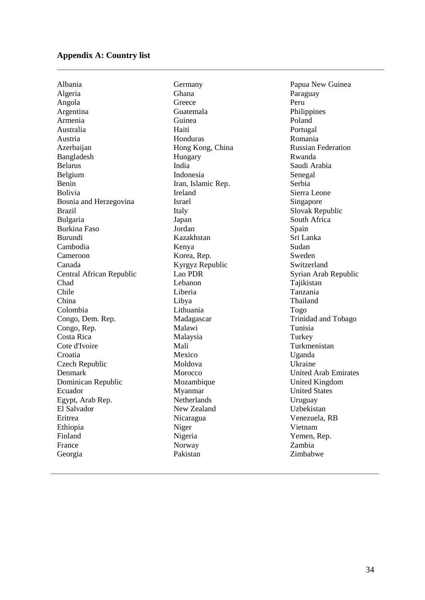#### **Appendix A: Country list**

Albania Algeria Angola Argentina Armenia Australia Austria Azerbaijan Bangladesh Belarus Belgium Benin Bolivia Bosnia and Herzegovina Brazil Bulgaria Burkina Faso Burundi Cambodia Cameroon Canada Central African Republic Chad Chile China Colombia Congo, Dem. Rep. Congo, Rep. Costa Rica Cote d'Ivoire Croatia Czech Republic Denmark Dominican Republic Ecuador Egypt, Arab Rep. El Salvador Eritrea Ethiopia Finland France Georgia

Germany Ghana **Greece** Guatemala Guinea Haiti Honduras Hong Kong, China Hungary India Indonesia Iran, Islamic Rep. Ireland Israel Italy Japan Jordan Kazakhstan Kenya Korea, Rep. Kyrgyz Republic Lao PDR Lebanon Liberia Libya Lithuania Madagascar Malawi Malaysia Mali Mexico Moldova Morocco Mozambique Myanmar Netherlands New Zealand Nicaragua Niger Nigeria Norway Pakistan

Papua New Guinea Paraguay Peru Philippines Poland Portugal Romania Russian Federation Rwanda Saudi Arabia Senegal Serbia Sierra Leone Singapore Slovak Republic South Africa Spain Sri Lanka Sudan Sweden Switzerland Syrian Arab Republic Tajikistan Tanzania Thailand Togo Trinidad and Tobago Tunisia **Turkey** Turkmenistan Uganda Ukraine United Arab Emirates United Kingdom United States Uruguay Uzbekistan Venezuela, RB Vietnam Yemen, Rep. Zambia Zimbabwe